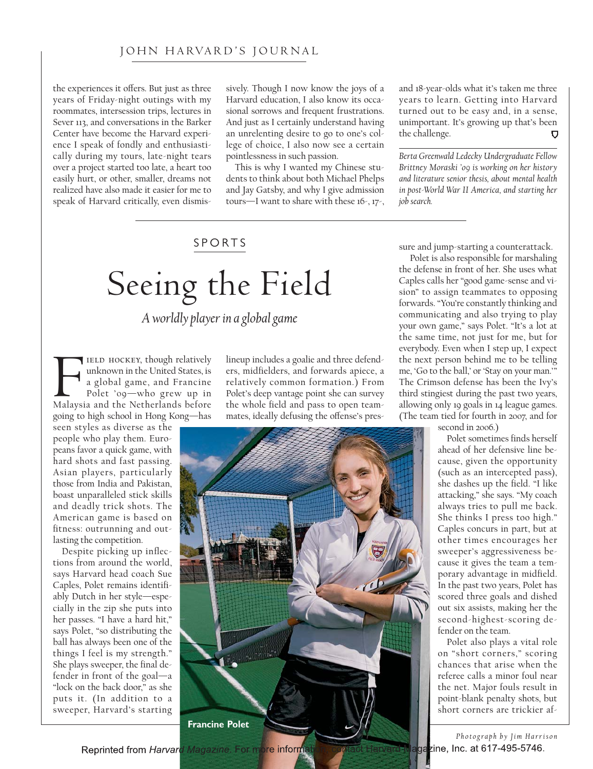### JOHN HARVARD'S JOURNAL

the experiences it offers. But just as three years of Friday-night outings with my roommates, intersession trips, lectures in Sever 113, and conversations in the Barker Center have become the Harvard experience I speak of fondly and enthusiastically during my tours, late-night tears over a project started too late, a heart too easily hurt, or other, smaller, dreams not realized have also made it easier for me to speak of Harvard critically, even dismissively. Though I now know the joys of a Harvard education, I also know its occasional sorrows and frequent frustrations. And just as I certainly understand having an unrelenting desire to go to one's college of choice, I also now see a certain pointlessness in such passion.

This is why I wanted my Chinese students to think about both Michael Phelps and Jay Gatsby, and why I give admission tours—I want to share with these 16-, 17-,

## SPORTS

# Seeing the Field

*A worldly player in a global game*

FELD HOCKEY, though relatively<br>unknown in the United States, is<br>a global game, and Francine<br>Polet '09—who grew up in<br>Malaysia and the Netherlands before IELD HOCKEY, though relatively unknown in the United States, is a global game, and Francine Polet '09—who grew up in going to high school in Hong Kong—has

seen styles as diverse as the people who play them. Europeans favor a quick game, with hard shots and fast passing. Asian players, particularly those from India and Pakistan, boast unparalleled stick skills and deadly trick shots. The American game is based on fitness: outrunning and outlasting the competition.

Despite picking up inflections from around the world, says Harvard head coach Sue Caples, Polet remains identifiably Dutch in her style—especially in the zip she puts into her passes. "I have a hard hit," says Polet, "so distributing the ball has always been one of the things I feel is my strength." She plays sweeper, the final defender in front of the goal—a "lock on the back door," as she puts it. (In addition to a sweeper, Harvard's starting

lineup includes a goalie and three defenders, midfielders, and forwards apiece, a relatively common formation.) From Polet's deep vantage point she can survey the whole field and pass to open teammates, ideally defusing the offense's pres-



and 18-year-olds what it's taken me three years to learn. Getting into Harvard turned out to be easy and, in a sense, unimportant. It's growing up that's been the challenge.

*Berta Greenwald Ledecky Undergraduate Fellow Brittney Moraski '09 is working on her history and literature senior thesis, about mental health in post-World War II America, and starting her job search.*

sure and jump-starting a counterattack.

Polet is also responsible for marshaling the defense in front of her. She uses what Caples calls her "good game-sense and vision" to assign teammates to opposing forwards. "You're constantly thinking and communicating and also trying to play your own game," says Polet. "It's a lot at the same time, not just for me, but for everybody. Even when I step up, I expect the next person behind me to be telling me, 'Go to the ball,' or 'Stay on your man.'" The Crimson defense has been the Ivy's third stingiest during the past two years, allowing only 19 goals in 14 league games. (The team tied for fourth in 2007, and for

second in 2006.)

Polet sometimes finds herself ahead of her defensive line because, given the opportunity (such as an intercepted pass), she dashes up the field. "I like attacking," she says. "My coach always tries to pull me back. She thinks I press too high." Caples concurs in part, but at other times encourages her sweeper's aggressiveness because it gives the team a temporary advantage in midfield. In the past two years, Polet has scored three goals and dished out six assists, making her the second-highest-scoring defender on the team.

Polet also plays a vital role on "short corners," scoring chances that arise when the referee calls a minor foul near the net. Major fouls result in point-blank penalty shots, but short corners are trickier af-

**Photograph by Jim Harrison**<br>**Photograph by Jim Harrison** 

Reprinted from Harvard Magazine. For more informat